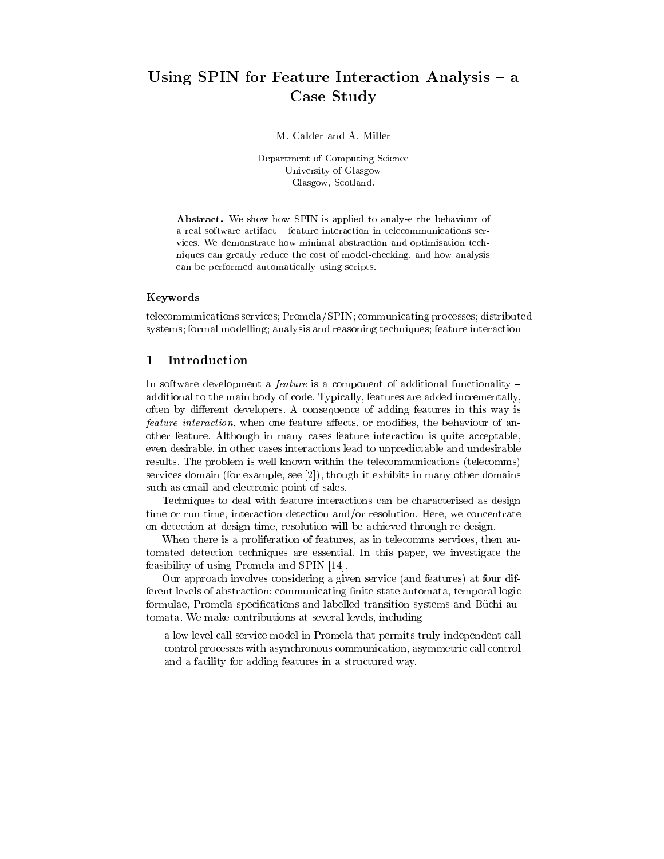# Using SPIN for Feature Interaction Analysis  $-$  a Case Study

M. Calder and A. Miller

Department of Computing Science University of Glasgow Glasgow, Scotland.

Abstract. We show how SPIN is applied to analyse the behaviour of a real software artifact - feature interaction in telecommunications services. We demonstrate how minimal abstraction and optimisation techniques can greatly reduce the cost of model-checking, and how analysis can be performed automatically using scripts.

### Keywords

telecommunications services; Promela/SPIN; communicating processes; distributed systems; formal modelling; analysis and reasoning techniques; feature interaction

### $\mathbf{1}$

In software development a *feature* is a component of additional functionality  $$ additional to the main body of code. Typically, features are added incrementally, often by different developers. A consequence of adding features in this way is feature interaction, when one feature affects, or modifies, the behaviour of another feature. Although in many cases feature interaction is quite acceptable, even desirable, in other cases interactions lead to unpredictable and undesirable results. The problem is well known within the telecommunications (telecomms) services domain (for example, see [2]), though it exhibits in many other domains such as email and electronic point of sales.

Techniques to deal with feature interactions can be characterised as design time or run time, interaction detection and/or resolution. Here, we concentrate on detection at design time, resolution will be achieved through re-design.

When there is a proliferation of features, as in telecomms services, then automated detection techniques are essential. In this paper, we investigate the feasibility of using Promela and SPIN [14].

Our approach involves considering a given service (and features) at four different levels of abstraction: communicating finite state automata, temporal logic formulae, Promela specifications and labelled transition systems and Büchi automata. We make contributions at several levels, including

{ a low level call service model in Promela that permits truly independent call control processes with asynchronous communication, asymmetric call control and a facility for adding features in a structured way,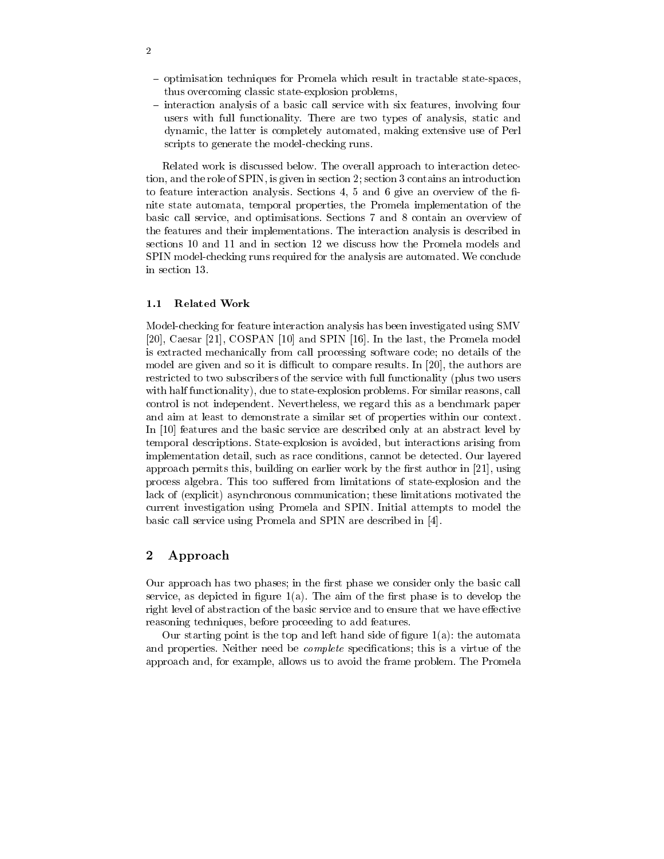- 2
	- { optimisation techniques for Promela which result in tractable state-spaces, thus overcoming classic state-explosion problems,
	- { interaction analysis of a basic call service with six features, involving four users with full functionality. There are two types of analysis, static and dynamic, the latter is completely automated, making extensive use of Perl scripts to generate the model-checking runs.

Related work is discussed below. The overall approach to interaction detection, and the role of SPIN, is given in section 2; section 3 contains an introduction to feature interaction analysis. Sections  $4, 5$  and  $6$  give an overview of the finite state automata, temporal properties, the Promela implementation of the basic call service, and optimisations. Sections 7 and 8 contain an overview of the features and their implementations. The interaction analysis is described in sections 10 and 11 and in section 12 we discuss how the Promela models and SPIN model-checking runs required for the analysis are automated. We conclude in section 13.

### 1.1 Related Work

Model-checking for feature interaction analysis has been investigated using SMV [20], Caesar [21], COSPAN [10] and SPIN [16]. In the last, the Promela model is extracted mechanically from call processing software code; no details of the model are given and so it is difficult to compare results. In [20], the authors are restricted to two subscribers of the service with full functionality (plus two users with half functionality), due to state-explosion problems. For similar reasons, call control is not independent. Nevertheless, we regard this as a benchmark paper and aim at least to demonstrate a similar set of properties within our context. In [10] features and the basic service are described only at an abstract level by temporal descriptions. State-explosion is avoided, but interactions arising from implementation detail, such as race conditions, cannot be detected. Our layered approach permits this, building on earlier work by the first author in  $[21]$ , using process algebra. This too suffered from limitations of state-explosion and the lack of (explicit) asynchronous communication; these limitations motivated the current investigation using Promela and SPIN. Initial attempts to model the basic call service using Promela and SPIN are described in [4].

### 2 Approach

Our approach has two phases; in the first phase we consider only the basic call service, as depicted in figure  $1(a)$ . The aim of the first phase is to develop the right level of abstraction of the basic service and to ensure that we have effective reasoning techniques, before proceeding to add features.

Our starting point is the top and left hand side of figure  $1(a)$ : the automata and properties. Neither need be *complete* specifications; this is a virtue of the approach and, for example, allows us to avoid the frame problem. The Promela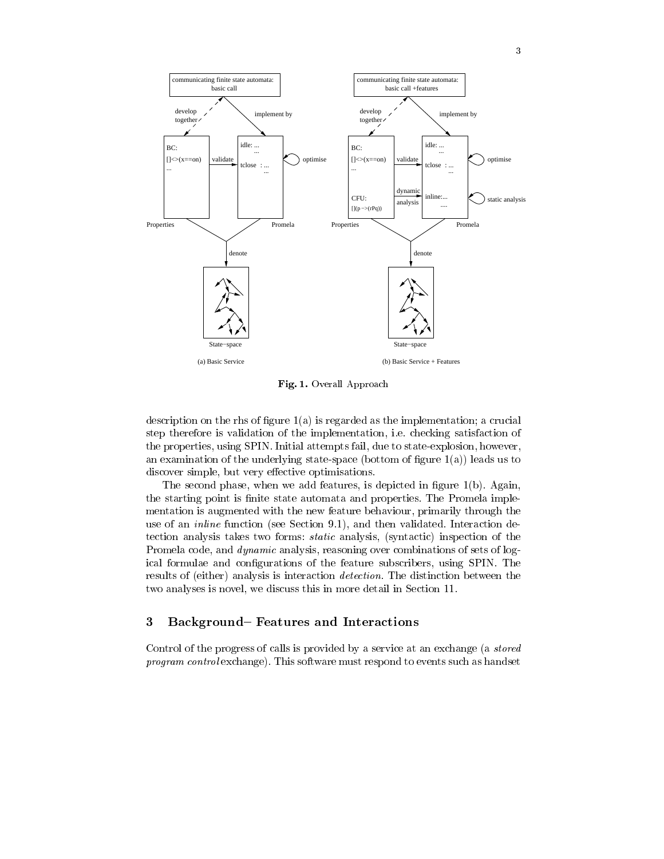

Fig. 1. Overall Approach

description on the rhs of figure  $1(a)$  is regarded as the implementation; a crucial step therefore is validation of the implementation, i.e. checking satisfaction of the properties, using SPIN. Initial attempts fail, due to state-explosion, however, an examination of the underlying state-space (bottom of figure  $1(a)$ ) leads us to discover simple, but very effective optimisations.

The second phase, when we add features, is depicted in figure  $1(b)$ . Again, the starting point is finite state automata and properties. The Promela implementation is augmented with the new feature behaviour, primarily through the use of an inline function (see Section 9.1), and then validated. Interaction detection analysis takes two forms: static analysis, (syntactic) inspection of the Promela code, and *dynamic* analysis, reasoning over combinations of sets of logical formulae and configurations of the feature subscribers, using SPIN. The results of (either) analysis is interaction detection. The distinction between the two analyses is novel, we discuss this in more detail in Section 11.

#### Background- Features and Interactions 3

Control of the progress of calls is provided by a service at an exchange (a stored program control exchange). This software must respond to events such as handset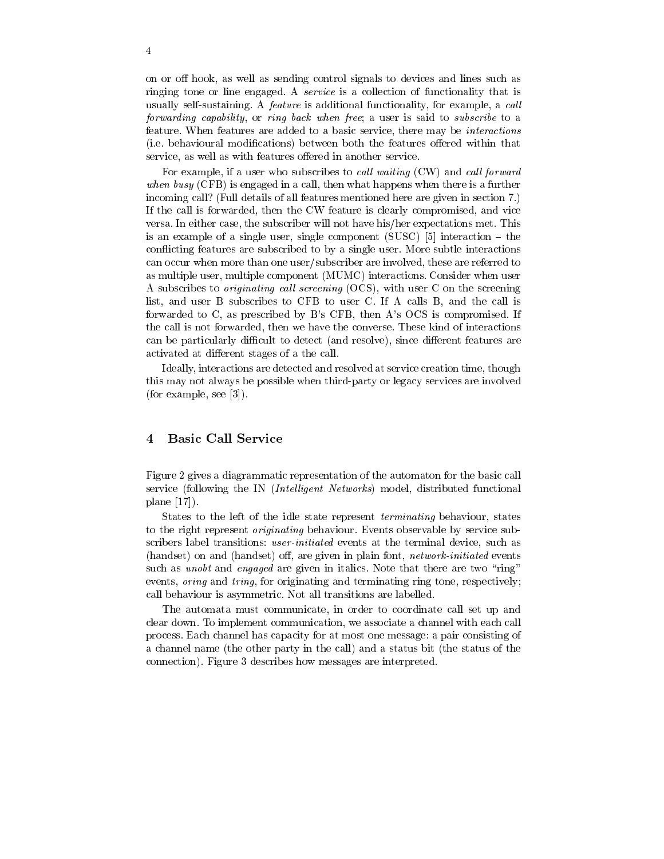on or off hook, as well as sending control signals to devices and lines such as ringing tone or line engaged. A service is a collection of functionality that is usually self-sustaining. A *feature* is additional functionality, for example, a *call* forwarding capability, or ring back when free; a user is said to subscribe to a feature. When features are added to a basic service, there may be *interactions* (i.e. behavioural modifications) between both the features offered within that service, as well as with features offered in another service.

For example, if a user who subscribes to *call waiting* (CW) and *call forward* when busy (CFB) is engaged in a call, then what happens when there is a further incoming call? (Full details of all features mentioned here are given in section 7.) If the call is forwarded, then the CW feature is clearly compromised, and vice versa. In either case, the subscriber will not have his/her expectations met. This is an example of a single user, single component (SUSC) [5] interaction  $-$  the con
icting features are subscribed to by a single user. More subtle interactions can occur when more than one user/subscriber are involved, these are referred to as multiple user, multiple component (MUMC) interactions. Consider when user A subscribes to *originating call screening* (OCS), with user C on the screening list, and user B subscribes to CFB to user C. If A calls B, and the call is forwarded to C, as prescribed by B's CFB, then A's OCS iscompromised. If the call is not forwarded, then we have the converse. These kind of interactions can be particularly difficult to detect (and resolve), since different features are activated at different stages of a the call.

Ideally, interactions are detected and resolved at service creation time, though this may not always be possible when third-party or legacy services are involved (for example, see [3]).

#### **Basic Call Service**  $\overline{4}$

Figure 2 gives a diagrammatic representation of the automaton for the basic call service (following the IN (Intelligent Networks) model, distributed functional plane [17]).

States to the left of the idle state represent terminating behaviour, states to the right represent *originating* behaviour. Events observable by service subscribers label transitions: user-initiated events at the terminal device, such as  $(hand set)$  on and  $(hand set)$  off, are given in plain font, *network-initiated* events such as *unobt* and *engaged* are given in italics. Note that there are two "ring" events, oring and tring, for originating and terminating ring tone, respectively; call behaviour is asymmetric. Not all transitions are labelled.

The automata must communicate, in order to coordinate call set up and clear down. To implement communication, we associate a channel with each call process. Each channel has capacity for at most one message: a pair consisting of a channel name (the other party in the call) and a status bit (the status of the connection). Figure 3 describes how messages are interpreted.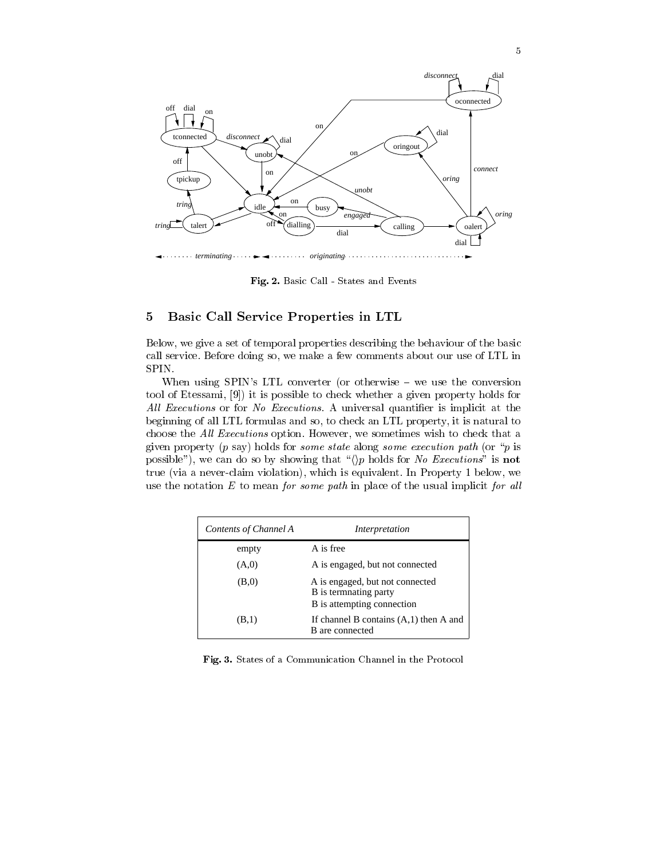

Fig. 2. Basic Call - States and Events

### 5 Basic Call Service Properties in LTL

Below, we give a set of temporal properties describing the behaviour of the basic call service. Before doing so, we make a few comments about our use of LTL in SPIN.

When using SPIN's LTL converter (or otherwise  $-$  we use the conversion tool of Etessami, [9]) it is possible to check whether a given property holds for All Executions or for No Executions. A universal quantifier is implicit at the beginning of all LTL formulas and so, to check an LTL property, it is natural to choose the All Executions option. However, we sometimes wish to check that a given property ( $p$  say) holds for *some state* along *some execution path* (or " $p$  is possible"), we can do so by showing that " $\langle p \rangle$  holds for No Executions" is not true (via a never-claim violation), which is equivalent. In Property 1 below, we use the notation E to mean for some path in place of the usual implicit for all

| Contents of Channel A | Interpretation                                                                          |
|-----------------------|-----------------------------------------------------------------------------------------|
| empty                 | A is free                                                                               |
| (A,0)                 | A is engaged, but not connected                                                         |
| (B,0)                 | A is engaged, but not connected<br>B is terminating party<br>B is attempting connection |
| (B,1)                 | If channel B contains $(A,1)$ then A and<br>B are connected                             |

Fig. 3. States of a Communication Channel in the Protocol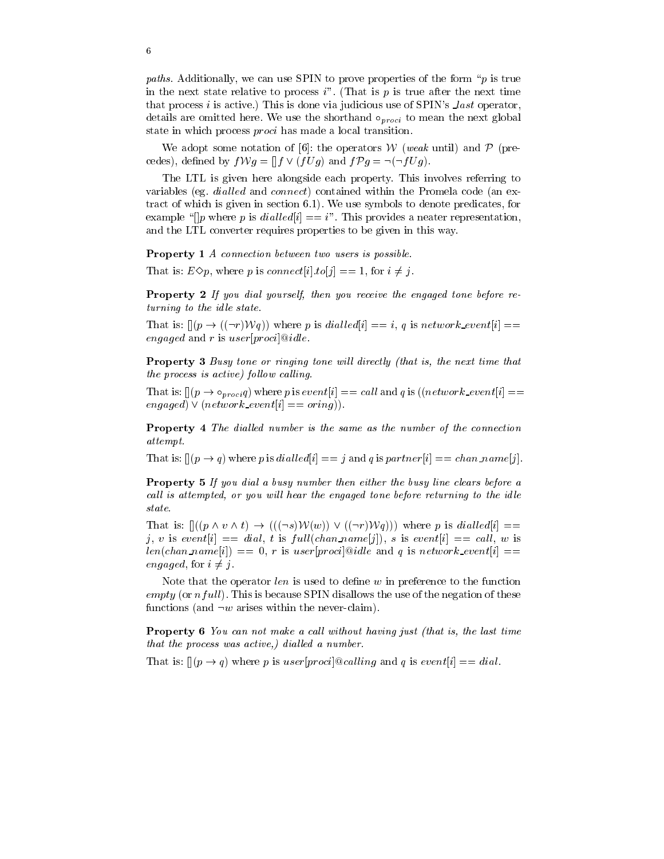*paths.* Additionally, we can use SPIN to prove properties of the form "*p* is true in the next state relative to process  $i^{\prime\prime}$ . (That is p is true after the next time that process i is active.) This is done via judicious use of SPIN's  $\Delta$  last operator. details are omitted here. We use the shorthand  $\circ_{\text{proci}}$  to mean the next global state in which process proci has made a local transition.

We adopt some notation of [6]: the operators W (weak until) and  $P$  (precedes), defined by  $f\mathcal{W}g = ||f \vee (fUg)$  and  $f\mathcal{P}g = \neg(\neg fUg)$ .

The LTL is given here alongside each property. This involves referring to variables (eg. dialled and connect) contained within the Promela code (an extract of which is given in section 6.1). We use symbols to denote predicates, for example " $[p$  where p is dialled  $[i] == i$ ". This provides a neater representation, and the LTL converter requires properties to be given in this way.

Property 1 A connection between two users is possible.

That is:  $E \diamond p$ , where p is connect[i] to[j] = = 1, for  $i \neq j$ .

Property 2 If you dial yourself, then you receive the engaged tone before returning to the idle state.

That is:  $[(p \rightarrow ((\neg r) \mathcal{W}q))$  where p is dialled[i] == i, q is network event[i] == engaged and r is user procipation.

Property 3 Busy tone or ringing tone will directly (that is, the next time that the process is active) follow calling.

That is:  $[(p \rightarrow \circ_{\text{proci}} q)$  where p is event  $[i] == call$  and q is  $((network\_event[i] ==$  $engaged) \vee (network\_event[i] == origin)).$ 

**Property 4** The dialled number is the same as the number of the connection attempt.

That is:  $[(p \rightarrow q)$  where p is dialled  $[i] == j$  and q is partner  $[i] == chan$  name[j].

Property 5 If you dial a busy number then either the busy line clears before a call is attempted, or you will hear the engaged tone before returning to the idle state.

That is:  $\left[ \left( (p \wedge v \wedge t) \rightarrow ((\neg s) \mathcal{W}(w)) \vee ((\neg r) \mathcal{W}(q)) \right) \right]$  where p is dialled[i] == j, v is event[i]  $=$  dial, t is full(chan name[j]), s is event[i]  $=$  call, w is  $len(char_name[i]) == 0, r$  is user $[proci]@idle$  and q is network event[i] == engaged, for  $i \neq j$ .

Note that the operator len is used to define  $w$  in preference to the function  $empty$  (or  $n_f$  and). This is because STIN disallows the use of the negation of these functions (and  $\neg w$  arises within the never-claim).

**Property 6** You can not make a call without having just (that is, the last time that the process was active,) dialled a number.

That is:  $[(p \rightarrow q)$  where p is user[proci]@calling and q is event[i] == dial.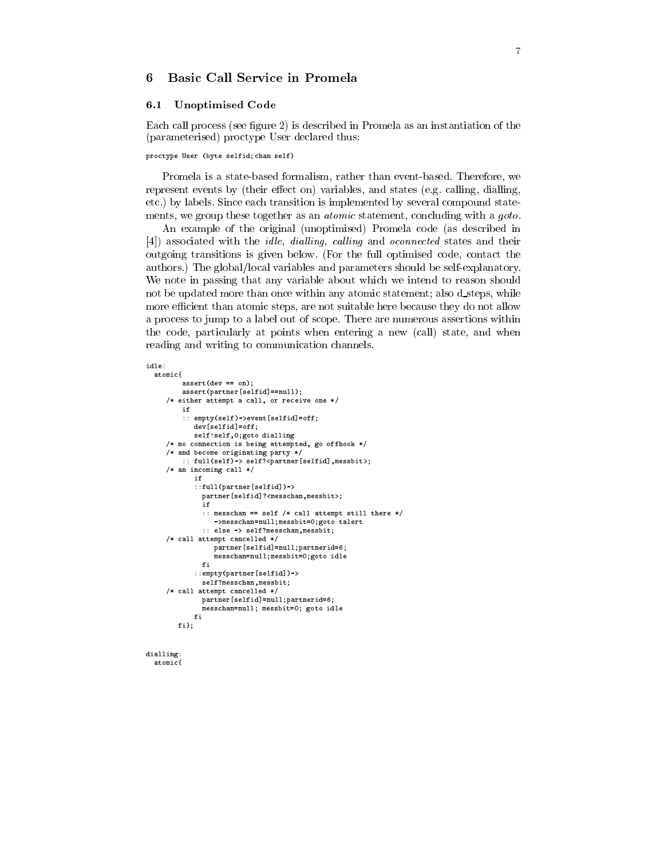### 6 6 Basic Call Service in Promela

### 6.1 Unoptimised Code

Each call process (see figure 2) is described in Promela as an instantiation of the (parameterised) proctype User declared thus:

proctype User (byte selfid;chan self)

Promela is a state-based formalism, rather than event-based. Therefore, we represent events by (their effect on) variables, and states (e.g. calling, dialling, etc.) by labels. Since each transition is implemented by several compound statements, we group these together as an *atomic* statement, concluding with a *goto*.

An example of the original (unoptimised) Promela code (as described in  $[4]$ ) associated with the *idle*, *dialling*, *calling* and *oconnected* states and their outgoing transitions is given below. (For the full optimised code, contact the authors.) The global/local variables and parameters should be self-explanatory. We note in passing that any variable about which we intend to reason should not be updated more than once within any atomic statement; also d\_steps, while more efficient than atomic steps, are not suitable here because they do not allow a process to jump to a label out of scope. There are numerous assertions within the code, particularly at points when entering a new (call) state, and when reading and writing to communication channels.

```
idle:
  atomic{
        assert(dev == on);
        assert(partner[selfid]==null);
    /* either attempt a call, or receive one */
        if
        --<br>:: empty(self)->event[selfid]=off;
           dev[selfid]=off;
          self!self, 0; goto dialling
    /* no connection is being attempted, go offhook */
    /* and become originating party */
        :: full(self)-> self?<partner[selfid],messbit>;
    /* an incoming call */
           if
           --<br>::full(partner[selfid])->
             partner[selfid]?<messchan,messbit>;
             if
             :: messchan == self /* call attempt still there */
               ->messchan=null;messbit=0;goto talert
             :: else -> self?messchan,messbit;
     partner[selfid]=null;partnerid=6;
               messchan=null;messbit=0;goto idle
            f_1::empty(partner[selfid])->
             self?messchan.messbit:
             self?messchan,messbit;
     /* call attempt cancelled */
             partner[selfid]=null;partnerid=6;
             messchan=null; messbit=0; goto idle
          f_1f_1fi};
```
dialling: atomicf  $-$  -  $-$  -  $-$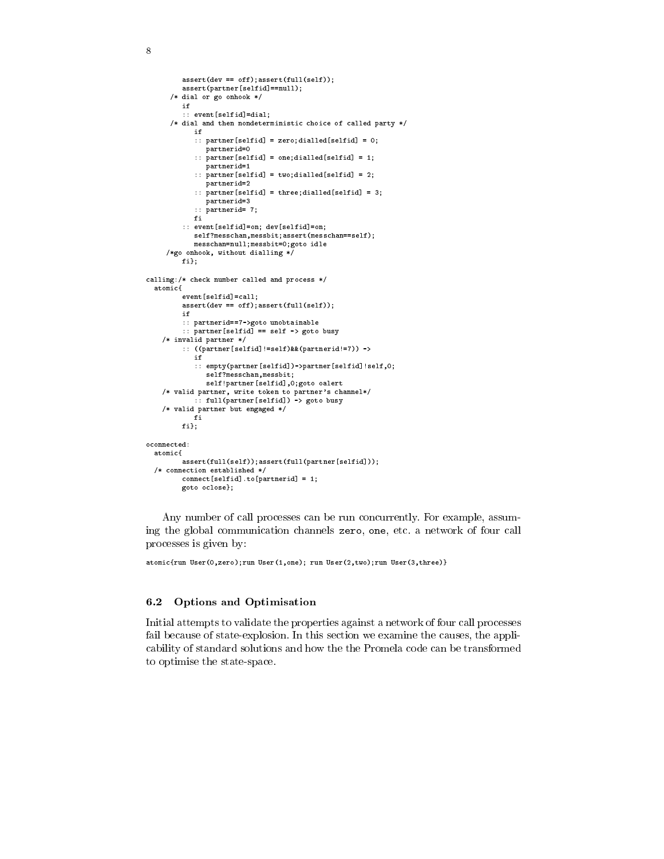```
assert(dev == off); assert(full(self));assert(partner[selfid]==null);
      /* dial or go onhook */
          if
           :: event[selfid]=dial;
       /* dial and then nondeterministic choice of called party */
             if
              :: partner[selfid] = zero;dialled[selfid] = 0;
                 partnerid=0
              :: partner[selfid] = one; dialled[selfid] = 1;partnerid=1
              :: partner[selfid] = two; dialled[selfid] = 2;<br>partnerid=2partnerid\mathbf{r}:: partner[selfid] = three;dialled[selfid] = 3;
                 partnerid=3
             :: partnerid= 7;
           fi
:: event[selfid]=on; dev[selfid]=on;
              messchan=null;messbit=0;goto idle
     /*go onhook, without dialling */
           fi};
calling:/* check number called and process */
  atomicf
   atomic control of the control of the control of the control of the control of the control of the control of th
          event[selfid]=call;
          \texttt{assert}(\texttt{dev} == \texttt{off}); \texttt{assert}(\texttt{full}(\texttt{self}));i f:: partnerid==7->goto unobtainable
          :: partner[selfid] == self -> goto busy
    /* invalid partner */
          :: ((partner[selfid]!=self)&&(partnerid!=7)) ->
              i f:: empty(partner[selfid])->partner[selfid]!self,0;
                 self?messchan,messbit;
                 self!partner[selfid],0;goto oalert
    /* valid partner, write token to partner's channel*/
              :: full(partner[selfid]) -> goto busy
    /* valid partner but engaged */
             fi
          fi};
oconnected:
   atomic{
         assert(full(self));assert(full(partner[selfid]));
  /* connection established */
   \mathcal{C} connection established \mathcal{C} connection established \mathcal{C}connect[selfid].to[partnerid] = 1;
          goto oclose};
```
Any number of call processes can be run concurrently. For example, assuming the global communication channels zero, one, etc. a network of four call processes is given by:

atomic{run User(0,zero);run User(1,one); run User(2,two);run User(3,three)}

## 6.2 Options and Optimisation

Initial attempts to validate the properties against a network of four call processes fail because of state-explosion. In this section we examine the causes, the applicability of standard solutions and how the the Promela code can be transformed to optimise the state-space.

8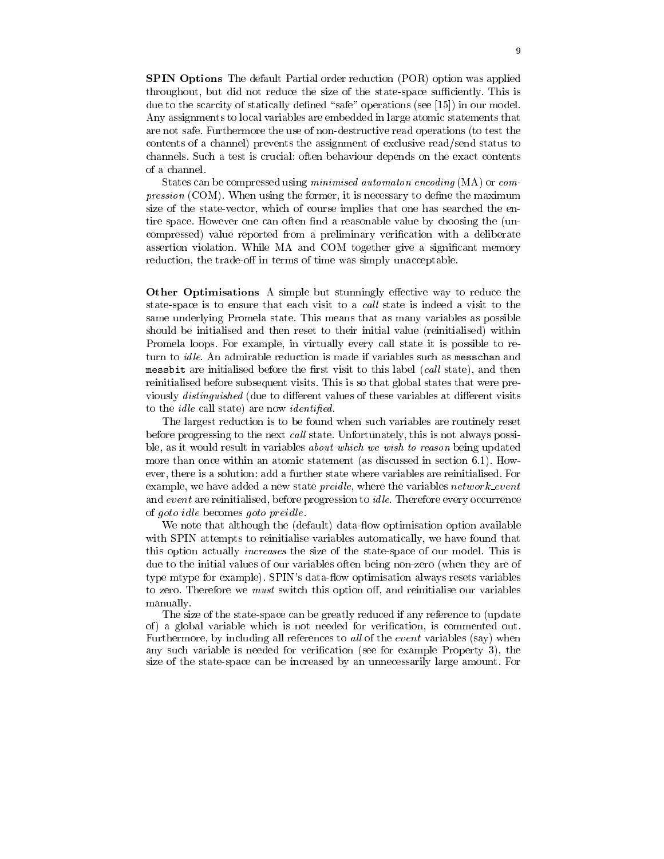SPIN Options The default Partial order reduction (POR) option was applied throughout, but did not reduce the size of the state-space sufficiently. This is due to the scarcity of statically defined "safe" operations (see  $[15]$ ) in our model. Any assignments to local variables are embedded in large atomic statements that are not safe. Furthermore the use of non-destructive read operations (to test the contents of a channel) prevents the assignment of exclusive read/send status to channels. Such a test is crucial: often behaviour depends on the exact contents

States can be compressed using *minimised automaton encoding* (MA) or *com* $pression (COM)$ . When using the former, it is necessary to define the maximum size of the state-vector, which of course implies that one has searched the entire space. However one can often find a reasonable value by choosing the (uncompressed) value reported from a preliminary verication with a deliberate assertion violation. While MA and COM together give a signicant memory reduction, the trade-off in terms of time was simply unacceptable.

Other Optimisations A simple but stunningly effective way to reduce the state-space is to ensure that each visit to a *call* state is indeed a visit to the same underlying Promela state. This means that as many variables as possible should be initialised and then reset to their initial value (reinitialised) within Promela loops. For example, in virtually every call state it is possible to return to idle. An admirable reduction is made if variables such as messchan and messbit are initialised before the first visit to this label (call state), and then reinitialised before subsequent visits. This is so that global states that were previously *distinguished* (due to different values of these variables at different visits to the *idle* call state) are now *identified*.

The largest reduction is to be found when such variables are routinely reset before progressing to the next *call* state. Unfortunately, this is not always possible, as it would result in variables about which we wish to reason being updated more than once within an atomic statement (as discussed in section 6.1). How ever, there is a solution: add a further state where variables are reinitialised. For example, we have added a new state *preidle*, where the variables  $network\_event$ and event are reinitialised, before progression to idle. Therefore every occurrence of goto idle becomes goto preidle.

We note that although the (default) data-flow optimisation option available with SPIN attempts to reinitialise variables automatically, we have found that this option actually increases the size of the state-space of our model. This is due to the initial values of our variables often being non-zero (when they are of type mtype for example). SPIN's data-flow optimisation always resets variables to zero. Therefore we *must* switch this option off, and reinitialise our variables manually.

The size of the state-space can be greatly reduced if any reference to (update of) a global variable which is not needed for verification, is commented out. Furthermore, by including all references to all of the event variables (say) when any such variable is needed for verification (see for example Property 3), the size of the state-space can be increased by an unnecessarily large amount. For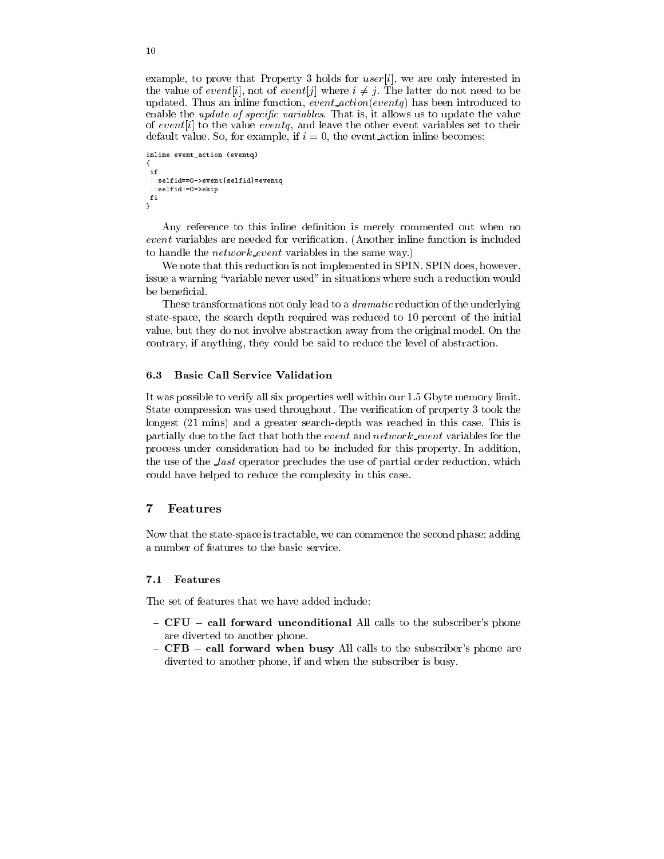example, to prove that Property 3 holds for  $user[i]$ , we are only interested in the value of event[i], not of event[j] where  $i \neq j$ . The latter do not need to be updated. Thus an inline function, event  $action(eventq)$  has been introduced to enable the *update of specific variables*. That is, it allows us to update the value of event $[i]$  to the value eventq, and leave the other event variables set to their default value. So, for example, if  $i = 0$ , the event action inline becomes:

```
inline event_action (eventq)
  {\bf r} and {\bf r} are the set of the set of the set of the set of the set of the set of the set of the set of the set of the set of the set of the set of the set of the set of the set of the set of the set of the set of t
    ::selfid==0->event[selfid]=eventq
     ::selfid!=0->skip
   fi
}
```
Any reference to this inline definition is merely commented out when no event variables are needed for verication. (Another inline function is included to handle the *network\_event* variables in the same way.)

We note that this reduction is not implemented in SPIN. SPIN does, however, issue a warning "variable never used" in situations where such a reduction would be beneficial.

These transformations not only lead to a dramatic reduction of the underlying state-space, the search depth required was reduced to 10 percent of the initial value, but they do not involve abstraction away from the original model. On the contrary, if anything, they could be said to reduce the level of abstraction.

It was possible to verify all six properties well within our 1.5 Gbyte memory limit. State compression was used throughout. The verication of property 3 took the longest (21 mins) and a greater search-depth was reached in this case. This is partially due to the fact that both the event and  $network\_event$  variables for the process under consideration had to be included for this property. In addition, the use of the *last* operator precludes the use of partial order reduction, which could have helped to reduce the complexity in this case.

#### $\overline{7}$ Features

Now that the state-space is tractable, we can commence the second phase: adding a number of features to the basic service.

#### $7.1$ **Features**

The set of features that we have added include:

- ${\bf CFU call}$  forward unconditional All calls to the subscriber's phone are diverted to another phone.
- CFB call forward when busy All calls to the subscriber's phone are diverted to another phone, if and when the subscriber is busy.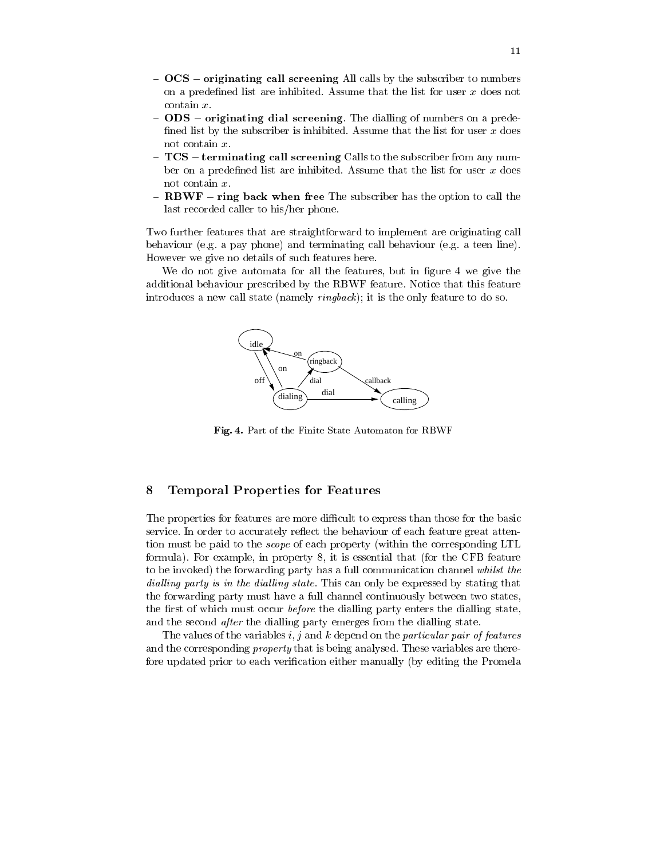- ${\bf -OCS}$  originating call screening All calls by the subscriber to numbers on a predefined list are inhibited. Assume that the list for user  $x$  does not contain x.
- ${-}$  ODS  ${-}$  originating dial screening. The dialling of numbers on a predefined list by the subscriber is inhibited. Assume that the list for user  $x$  does not contain x.
- $TCS -$  terminating call screening Calls to the subscriber from any number on a predefined list are inhibited. Assume that the list for user x does not contain x.
- $-$  RBWF  $-$  ring back when free The subscriber has the option to call the last recorded caller to his/her phone.

Two further features that are straightforward to implement are originating call behaviour (e.g. a pay phone) and terminating call behaviour (e.g. a teen line). However we give no details of such features here.

We do not give automata for all the features, but in figure 4 we give the additional behaviour prescribed by the RBWF feature. Notice that this feature introduces a new call state (namely *ringback*); it is the only feature to do so.



Fig. 4. Part of the Finite State Automaton for RBWF

## 8 Temporal Properties for Features

The properties for features are more difficult to express than those for the basic service. In order to accurately reflect the behaviour of each feature great attention must be paid to the scope of each property (within the corresponding LTL formula). For example, in property 8, it is essential that (for the CFB feature to be invoked) the forwarding party has a full communication channel whilst the dialling party is in the dialling state. This can only be expressed by stating that the forwarding party must have a full channel continuously between two states, the first of which must occur *before* the dialling party enters the dialling state, and the second after the dialling party emerges from the dialling state.

The values of the variables i, j and k depend on the particular pair of features and the corresponding *property* that is being analysed. These variables are therefore updated prior to each verification either manually (by editing the Promela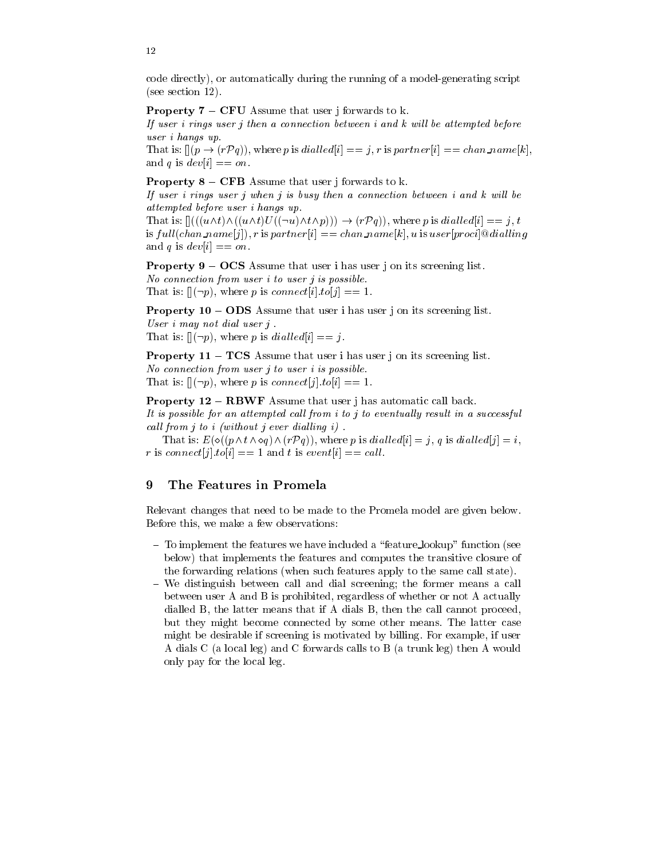code directly), or automatically during the running of a model-generating script (see section 12).

**Property 7 - CFU** Assume that user j forwards to k.

If user  $i$  rings user  $j$  then a connection between  $i$  and  $k$  will be attempted before user i hangs up.

That is:  $[(p \rightarrow (r \mathcal{P} q))$ , where p is dialled  $[i] == j$ , r is partner  $[i] == chan$  name  $[k]$ , and q is  $dev[i] == on$ .

**Property 8 - CFB** Assume that user j forwards to k.

If user  $i$  rings user  $j$  when  $j$  is busy then a connection between  $i$  and  $k$  will be attempted before user i hangs up.

That is:  $[((u \wedge t) \wedge ((u \wedge t)U((\neg u) \wedge t \wedge p))) \rightarrow (r \mathcal{P} q))$ , where p is dialled[i] == j, t is  $full(char_name[j]), r$  is  $partner[i] == chan_name[k], u$  is  $user[proci]$ <sup>*@dialling*</sup> and q is  $dev[i] == on$ .

**Property 9 - OCS** Assume that user i has user j on its screening list. No connection from user i to user j is possible. That is:  $[|(\neg p),$  where p is connect[i] to[j] = = 1.

**Property 10 - ODS** Assume that user i has user j on its screening list. User *i* may not dial user *i*. That is:  $\lceil (\neg p) \rceil$ , where p is dialled  $[i] == j$ .

**Property 11**  $-$  **TCS** Assume that user i has user j on its screening list. No connection from user j to user i is possible. That is:  $[|(\neg p)$ , where p is connect[j] to[i] = 1.

**Property 12 - RBWF** Assume that user j has automatic call back. It is possible for an attempted call from  $i$  to  $j$  to eventually result in a successful call from j to i (without j ever dialling i).

That is:  $E(\diamond ((p \land t \land \diamond q) \land (r \land q))$ , where p is dialled[i] = j, q is dialled[j] = i, r is contracted in the 1 and the term is event in the called the term of the term of the called the called the

### 9 The Features in Promela

Relevant changes that need to be made to the Promela model are given below. Before this, we make a few observations:

- ${\rm -T_0}$  implement the features we have included a "feature lookup" function (see below) that implements the features and computes the transitive closure of the forwarding relations (when such features apply to the same call state).
- ${\bf -}$  We distinguish between call and dial screening; the former means a call between user A and B is prohibited, regardless of whether or not A actually dialled B, the latter means that if A dials B, then the call cannot proceed, but they might become connected by some other means. The latter case might be desirable if screening is motivated by billing. For example, if user A dials C (a local leg) and C forwards calls to B (a trunk leg) then A would only pay for the local leg.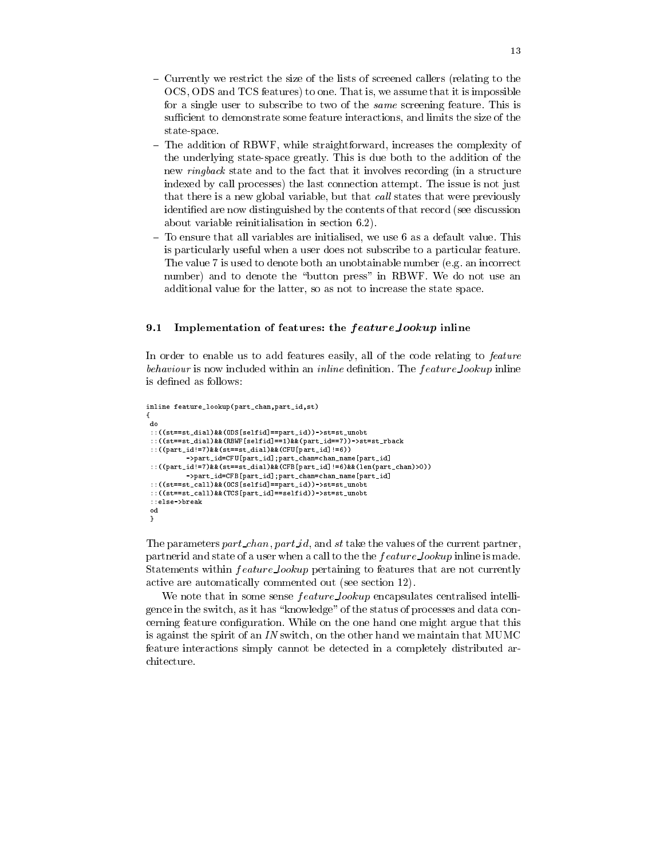- ${\rm -}$  Currently we restrict the size of the lists of screened callers (relating to the OCS, ODS and TCS features) to one. That is, we assume that it is impossible for a single user to subscribe to two of the *same* screening feature. This is sufficient to demonstrate some feature interactions, and limits the size of the state-space.
- { The addition of RBWF, while straightforward, increases the complexity of the underlying state-space greatly. This is due both to the addition of the new ringback state and to the fact that it involves recording (in a structure indexed by call processes) the last connection attempt. The issue is not just that there is a new global variable, but that *call* states that were previously identied are now distinguished by the contents of that record (see discussion about variable reinitialisation in section 6.2).
- ${\bf -}$  To ensure that all variables are initialised, we use 6 as a default value. This is particularly useful when a user does not subscribe to a particular feature. The value 7 is used to denote both an unobtainable number (e.g. an incorrect number) and to denote the "button press" in RBWF. We do not use an additional value for the latter, so as not to increase the state space.

### 9.1 Implementation of features: the  $feature\, lookup$  inline

In order to enable us to add features easily, all of the code relating to *feature* behaviour is now included within an *inline* definition. The feature lookup inline is defined as follows:

```
inline feature_lookup(part_chan,part_id,st)
{\bf r} and {\bf r} are the set of the set of the set of the set of the set of the set of the set of the set of the set of the set of the set of the set of the set of the set of the set of the set of the set of the set of t
 do
 ::((st==st_dial)&&(RBWF[selfid]==1)&&(part_id==7))->st=st_rback
 ::((part_id!=7)&&(st==st_dial)&&(CFU[part_id]!=6))
              ->part_id=CFU[part_id];part_chan=chan_name[part_id]
 ::((part_id!=7)&&(st==st_dial)&&(CFB[part_id]!=6)&&(len(part_chan)>0))
              ->part_id=CFB[part_id];part_chan=chan_name[part_id]
 ::((st==st_call)&&(OCS[selfid]==part_id))->st=st_unobt
 ::((st==st_call)&&(TCS[part_id]==selfid))->st=st_unobt
 ::else->break
 od
\mathcal{F}}
```
The parameters part chan, part id, and st take the values of the current partner, partnerid and state of a user when a call to the the feature lookup inline is made. Statements within *feature\_lookup* pertaining to features that are not currently active are automatically commented out (see section 12).

We note that in some sense *feature lookup* encapsulates centralised intelligence in the switch, as it has \knowledge" of the status of processes and data concerning feature conguration. While on the one hand one might argue that this is against the spirit of an IN switch, on the other hand we maintain that MUMC feature interactions simply cannot be detected in a completely distributed architecture.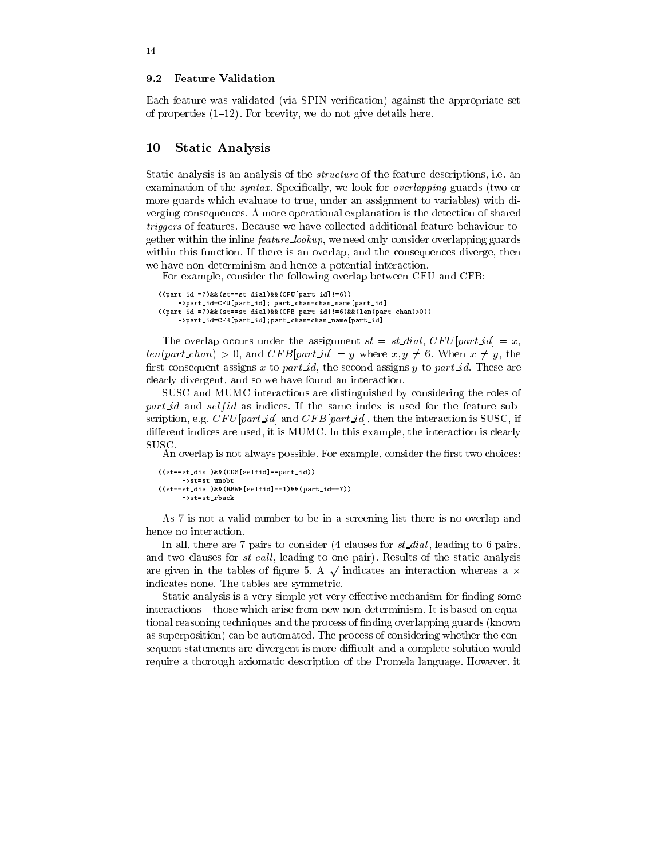### 9.2 Feature Validation

Each feature was validated (via SPIN verication) against the appropriate set of properties  $(1-12)$ . For brevity, we do not give details here.

### 10 Static Analysis

Static analysis is an analysis of the structure of the feature descriptions, i.e. an examination of the *syntax*. Specifically, we look for *overlapping* guards (two or more guards which evaluate to true, under an assignment to variables) with di verging consequences. A more operational explanation is the detection of shared triggers of features. Because we have collected additional feature behaviour together within the inline feature lookup, we need only consider overlapping guards within this function. If there is an overlap, and the consequences diverge, then we have non-determinism and hence a potential interaction.

For example, consider the following overlap between CFU and CFB:

```
::((part_id!=7)&&(st==st_dial)&&(CFU[part_id]!=6))
      ->part_id=CFU[part_id]; part_chan=chan_name[part_id]
::((part_id!=7)&&(st==st_dial)&&(CFB[part_id]!=6)&&(len(part_chan)>0))
      ->part_id=CFB[part_id];part_chan=chan_name[part_id]
```
The overlap occurs under the assignment  $st = st\_dial$ ,  $CFU[part\_id] = x$ ,  $len(part\_chan) > 0$ , and  $CFB[part\_id] = y$  where  $x, y \neq 6$ . When  $x \neq y$ , the first consequent assigns x to part id, the second assigns y to part id. These are clearly divergent, and so we have found an interaction.

SUSC and MUMC interactions are distinguished by considering the roles of  $part$  id and set for as indices. If the same index is used for the feature subscription, e.g.  $CFU[part\_id]$  and  $CFB[part\_id]$ , then the interaction is SUSC, if different indices are used, it is MUMC. In this example, the interaction is clearly SUSC.  $\sim$   $\sim$   $\sim$   $\sim$ 

An overlap is not always possible. For example, consider the rst two choices:

```
::((st==st_dial)&&(ODS[selfid]==part_id))
        \rightarrowst=st unobt
::((st==st_dial) \&(RBWF[selfid] == 1) \&(part_id == 7))
        ->st=st_rback
```
As 7 is not a valid number to be in a screening list there is no overlap and hence no interaction.

In all, there are 7 pairs to consider (4 clauses for *st\_dial*, leading to 6 pairs, and two clauses for  $st\_{call}$ , leading to one pair). Results of the static analysis are given in the tables of figure 5. A  $\sqrt{\ }$  indicates an interaction whereas a  $\times$ indicates none. The tables are symmetric.

Static analysis is a very simple yet very effective mechanism for finding some  $interactions - those which arise from new non-determinism. It is based on equa$ tional reasoning techniques and the process of nding overlapping guards (known as superposition) can be automated. The process of considering whether the consequent statements are divergent is more difficult and a complete solution would require a thorough axiomatic description of the Promela language. However, it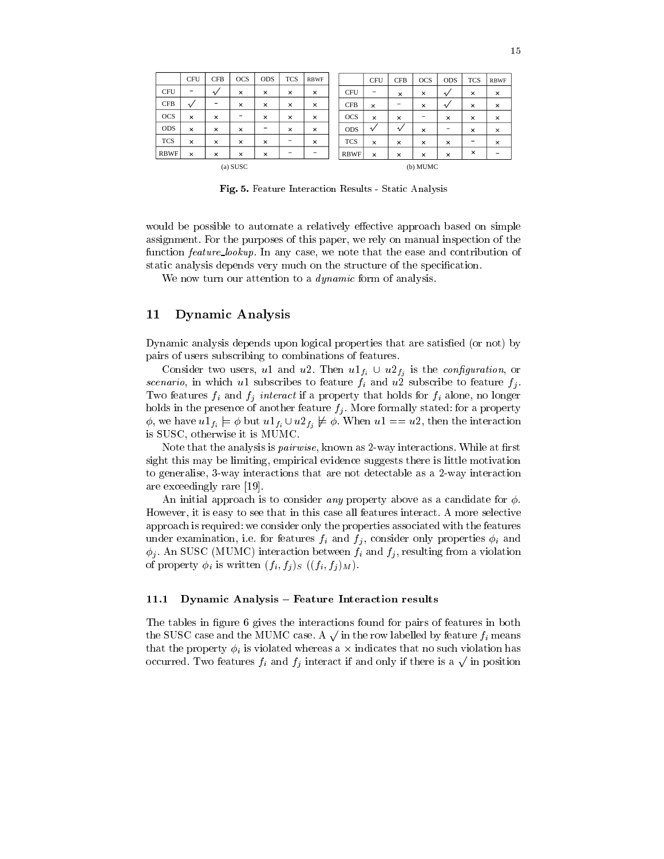|             | <b>CFU</b>  | <b>CFB</b>  | <b>OCS</b> | <b>ODS</b> | <b>TCS</b> | <b>RBWF</b> |             | <b>CFU</b>  | <b>CFB</b>   | <b>OCS</b> | <b>ODS</b>  | <b>TCS</b> | <b>RBWF</b> |
|-------------|-------------|-------------|------------|------------|------------|-------------|-------------|-------------|--------------|------------|-------------|------------|-------------|
| <b>CFU</b>  |             | $\check{ }$ | $\times$   | $\times$   | $\times$   | $\times$    | <b>CFU</b>  |             | ×            | $\times$   | $\check{ }$ | $\times$   | $\times$    |
| <b>CFB</b>  | $\check{ }$ | -           | $\times$   | $\times$   | $\times$   | ×           | <b>CFB</b>  | $\times$    |              | $\times$   | $\check{ }$ | $\times$   | $\times$    |
| <b>OCS</b>  | $\times$    | $\times$    |            | $\times$   | $\times$   | $\times$    | <b>OCS</b>  | $\times$    | $\times$     |            | $\times$    | $\times$   | $\times$    |
| <b>ODS</b>  | $\times$    | $\times$    | $\times$   | -          | $\times$   | $\times$    | <b>ODS</b>  | $\check{ }$ | $\checkmark$ | ×          |             | $\times$   | $\times$    |
| <b>TCS</b>  | $\times$    | $\times$    | ×          | $\times$   |            | ×           | <b>TCS</b>  | $\times$    | $\times$     | $\times$   | $\times$    | -          | $\times$    |
| <b>RBWF</b> | $\times$    | $\times$    | $\times$   | $\times$   |            |             | <b>RBWF</b> | $\times$    | $\times$     | $\times$   | ×           | $\times$   |             |
| (a) SUSC    |             |             |            |            |            |             | (b) MUMC    |             |              |            |             |            |             |

Fig. 5. Feature Interaction Results - Static Analysis

would be possible to automate a relatively effective approach based on simple assignment. For the purposes of this paper, we rely on manual inspection of the function *feature\_lookup*. In any case, we note that the ease and contribution of static analysis depends very much on the structure of the specication.

We now turn our attention to a *dynamic* form of analysis.

### 11 Dynamic Analysis

Dynamic analysis depends upon logical properties that are satisfied (or not) by pairs of users subscribing to combinations of features.

consider two discreption  $\sum_{i=1}^n x_i = \sum_{i=1}^n x_i$  is the conjegative  $\sum_{i=1}^n x_i$ scenario, in which u1 subscribes to feature  $f_i$  and u2 subscribe to feature  $f_i$ . Two features  $f_i$  and  $f_j$  interact if a property that holds for  $f_i$  alone, no longer holds in the presence of another feature  $f_j$ . More formally stated: for a property  $\phi$ , we have  $u_1f_i \models \phi$  but  $u_1f_i \cup u_2f_j \not\models \phi$ . When  $u_1 == u_2$ , then the interaction is SUSC, otherwise it is MUMC.

Note that the analysis is *pairwise*, known as 2-way interactions. While at first sight this may be limiting, empirical evidence suggests there is little motivation to generalise, 3-way interactions that are not detectable as a 2-way interaction are exceedingly rare [19].

An initial approach is to consider *any* property above as a candidate for  $\phi$ . However, it is easy to see that in this case all features interact. A more selective approach is required: we consider only the properties associated with the features under examination, i.e. for features  $f_i$  and  $f_j$ , consider only properties  $\phi_i$  and  $\phi_j$ . An SUSC (MUMC) interaction between  $f_i$  and  $f_j$ , resulting from a violation of property  $\phi_i$  is written  $(f_i, f_j)_S$   $((f_i, f_j)_M)$ .

### 11.1 Dynamic Analysis - Feature Interaction results

The tables in figure 6 gives the interactions found for pairs of features in both the SUSC case and the MUMC case. A  $\sqrt{}$  in the row labelled by feature  $f_i$  means that the property if is violated whereas a - indicates that is violated where  $\sim$  is violated that  $\sim$ occurred. Two features  $f_i$  and  $f_j$  interact if and only if there is a  $\sqrt{ }$  in position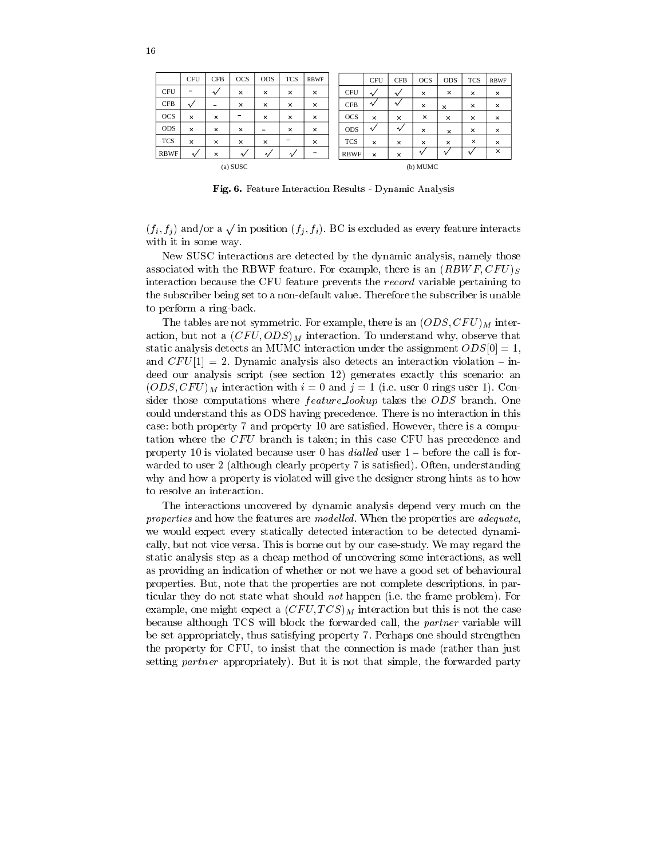|             | <b>CFU</b>  | <b>CFB</b>  | <b>OCS</b>  | <b>ODS</b> | <b>TCS</b> | <b>RBWF</b> |            | <b>CFU</b>  | <b>CFB</b>   | <b>OCS</b> | <b>ODS</b> | <b>TCS</b> | <b>RBWF</b> |
|-------------|-------------|-------------|-------------|------------|------------|-------------|------------|-------------|--------------|------------|------------|------------|-------------|
| <b>CFU</b>  | -           | $\check{ }$ | $\times$    | $\times$   | $\times$   | $\times$    | <b>CFU</b> | $\check{ }$ | $\check{ }$  | $\times$   | $\times$   | $\times$   | $\times$    |
| <b>CFB</b>  | $\check{ }$ | -           | $\times$    | $\times$   | $\times$   | $\times$    | <b>CFB</b> | $\check{ }$ | $\check{ }$  | $\times$   | $\times$   | $\times$   | $\times$    |
| <b>OCS</b>  | $\times$    | ×           |             | $\times$   | $\times$   | $\times$    | <b>OCS</b> | $\times$    | $\times$     | $\times$   | $\times$   | $\times$   | $\times$    |
| <b>ODS</b>  | $\times$    | $\times$    | ×           | -          | $\times$   | $\times$    | <b>ODS</b> | $\check{ }$ | $\checkmark$ | ×          | $\times$   | $\times$   | $\times$    |
| <b>TCS</b>  | $\times$    | $\times$    | ×           | $\times$   | -          | ×           | <b>TCS</b> | $\times$    | $\times$     | ×          | $\times$   | $\times$   | $\times$    |
| <b>RBWF</b> | $\check{ }$ | $\times$    | $\check{ }$ | $\sim$     | $\sim$     |             | RBWF       | $\times$    | ×            | $\Delta$   | $\sim$     | $\sim$     | $\times$    |
| (a) SUSC    |             |             |             |            |            |             | (b) MUMC   |             |              |            |            |            |             |

Fig. 6. Feature Interaction Results - Dynamic Analysis

 $(f_i, f_j)$  and/or a  $\sqrt{ }$  in position  $(f_i, f_i)$ . BC is excluded as every feature interacts with it in some way.

New SUSC interactions are detected by the dynamic analysis, namely those associated with the RBWF feature. For example, there is an  $(RBWF, CFU)_S$ interaction because the CFU feature prevents the record variable pertaining to the subscriber being set to a non-default value. Therefore the subscriber is unable to perform a ring-back.

The tables are not symmetric. For example, there is an  $(ODS, CFU)_M$  interaction, but not a  $(CFU, ODS)_{M}$  interaction. To understand why, observe that static analysis detects an MUMC interaction under the assignment  $ODS[0] = 1$ , and  $CFU[1] = 2$ . Dynamic analysis also detects an interaction violation - indeed our analysis script (see section 12) generates exactly this scenario: an  $(ODS, CFU)<sub>M</sub>$  interaction with  $i = 0$  and  $j = 1$  (i.e. user 0 rings user 1). Consider those computations where  $feature\_lookup$  takes the  $ODS$  branch. One could understand this as ODS having precedence. There is no interaction in this case: both property 7 and property 10 are satisfied. However, there is a computation where the CFU branch is taken; in this case CFU has precedence and property 10 is violated because user 0 has *dialled* user  $1$  - before the call is forwarded to user 2 (although clearly property 7 is satisfied). Often, understanding why and how a property is violated will give the designer strong hints as to how to resolve an interaction.

The interactions uncovered by dynamic analysis depend very much on the properties and how the features are modelled. When the properties are adequate, we would expect every statically detected interaction to be detected dynamically, but not vice versa. This is borne out by our case-study. We may regard the static analysis step as a cheap method of uncovering some interactions, as well as providing an indication of whether or not we have a good set of behavioural properties. But, note that the properties are not complete descriptions, in particular they do not state what should not happen (i.e. the frame problem). For example, one might expect a  $(CFU, TCS)_M$  interaction but this is not the case because although TCS will block the forwarded call, the *partner* variable will be set appropriately, thus satisfying property 7. Perhaps one should strengthen the property for CFU, to insist that the connection is made (rather than just setting *partner* appropriately). But it is not that simple, the forwarded party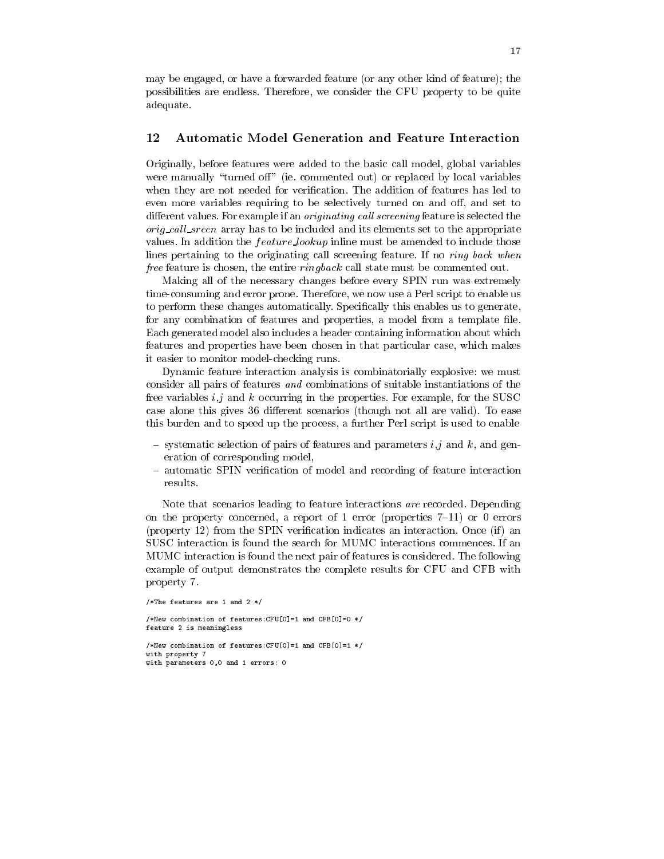may be engaged, or have a forwarded feature (or any other kind of feature); the possibilities are endless. Therefore, we consider the CFU property to be quite adequate.

### 12 Automatic Model Generation and Feature Interaction

Originally, before features were added to the basic call model, global variables were manually "turned off" (ie. commented out) or replaced by local variables when they are not needed for verification. The addition of features has led to even more variables requiring to be selectively turned on and off, and set to different values. For example if an *originating call screening* feature is selected the orig call sreen array has to be included and its elements set to the appropriate values. In addition the *feature lookup* inline must be amended to include those lines pertaining to the originating call screening feature. If no *ring back when* free feature is chosen, the entire *ringback* call state must be commented out.

Making all of the necessary changes before every SPIN run was extremely time-consuming and error prone. Therefore, we now use a Perl script to enable us to perform these changes automatically. Specifically this enables us to generate, for any combination of features and properties, a model from a template file. Each generated model also includes a header containing information about which features and properties have been chosen in that particular case, which makes it easier to monitor model-checking runs.

Dynamic feature interaction analysis is combinatorially explosive: we must consider all pairs of features and combinations of suitable instantiations of the free variables i,j and k occurring in the properties. For example, for the SUSC case alone this gives 36 different scenarios (though not all are valid). To ease this burden and to speed up the process, a further Perl script is used to enable

- ${}$  systematic selection of pairs of features and parameters i,j and k, and generation of corresponding model,
- automatic SPIN verification of model and recording of feature interaction results.

Note that scenarios leading to feature interactions are recorded. Depending on the property concerned, a report of 1 error (properties  $7-11$ ) or 0 errors (property 12) from the SPIN verification indicates an interaction. Once (if) an SUSC interaction is found the search for MUMC interactions commences. If an MUMC interaction is found the next pair of features is considered. The following example of output demonstrates the complete results for CFU and CFB with property 7.

```
/*The features are 1 and 2 */
/*New combination of features:CFU[0]=1 and CFB[0]=0 */
feature 2 is meaningless
/*New combination of features:CFU[0]=1 and CFB[0]=1 */
with parameters 0,0 and 1 errors: 0
```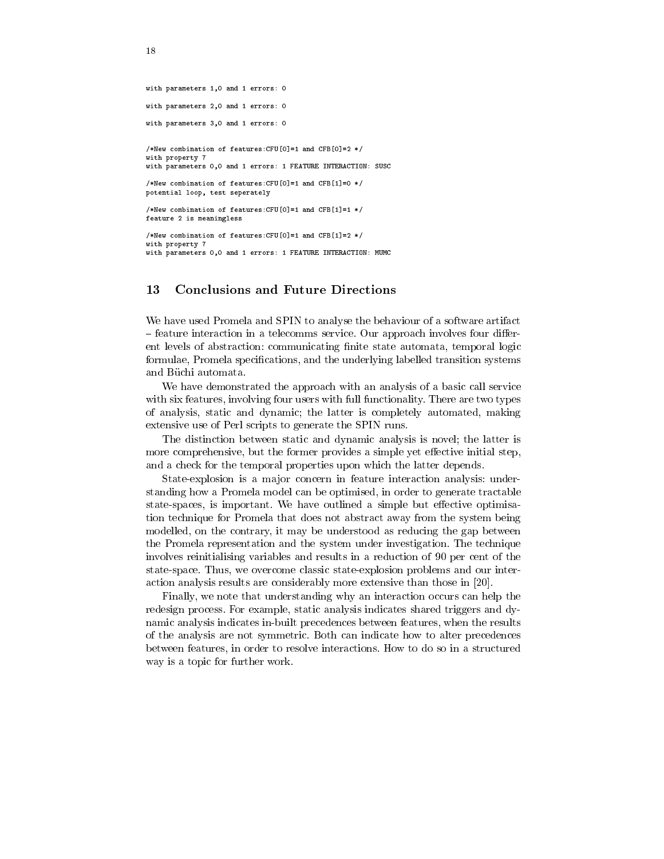```
with parameters 1,0 and 1 errors: 0
with parameters 2,0 and 1 errors: 0
with parameters 3,0 and 1 errors: 0
/*New combination of features:CFU[0]=1 and CFB[0]=2 */
with parameters 0,0 and 1 errors: 1 FEATURE INTERACTION: SUSC
/*New combination of features:CFU[0]=1 and CFB[1]=0 */
potential loop, test seperately
/*New combination of features:CFU[0]=1 and CFB[1]=1 */
feature 2 is meaningless
feature 2 is meaningless
/*New combination of features:CFU[0]=1 and CFB[1]=2 */
with property 7
with property \mathcal{A} and \mathcal{A} and \mathcal{A} and \mathcal{A} and \mathcal{A} and \mathcal{A} and \mathcal{A} and \mathcal{A} and \mathcal{A} and \mathcal{A} and \mathcal{A} and \mathcal{A} and \mathcal{A} and \mathcal{A} and \mathcal{A} and \mathcal{A} and
```
### 13 Conclusions and Future Directions

with parameters 1,1 and 1 errors: 2 cinemate internation: Mumc

We have used Promela and SPIN to analyse the behaviour of a software artifact  ${ }$  feature interaction in a telecomms service. Our approach involves four different levels of abstraction: communicating finite state automata, temporal logic formulae, Promela specifications, and the underlying labelled transition systems and Büchi automata.

We have demonstrated the approach with an analysis of a basic call service with six features, involving four users with full functionality. There are two types of analysis, static and dynamic; the latter is completely automated, making extensive use of Perl scripts to generate the SPIN runs.

The distinction between static and dynamic analysis is novel; the latter is more comprehensive, but the former provides a simple yet effective initial step, and a check for the temporal properties upon which the latter depends.

State-explosion is a major concern in feature interaction analysis: understanding how a Promela model can be optimised, in order to generate tractable state-spaces, is important. We have outlined a simple but effective optimisation technique for Promela that does not abstract away from the system being modelled, on the contrary, it may be understood as reducing the gap between the Promela representation and the system under investigation. The technique involves reinitialising variables and results in a reduction of 90 per cent of the state-space. Thus, we overcome classic state-explosion problems and our interaction analysis results are considerably more extensive than those in [20].

Finally, we note that understanding why an interaction occurs can help the redesign process. For example, static analysis indicates shared triggers and dynamic analysis indicates in-built precedences between features, when the results of the analysis are not symmetric. Both can indicate how to alter precedences between features, in order to resolve interactions. How to do so in a structured way is a topic for further work.

 $18$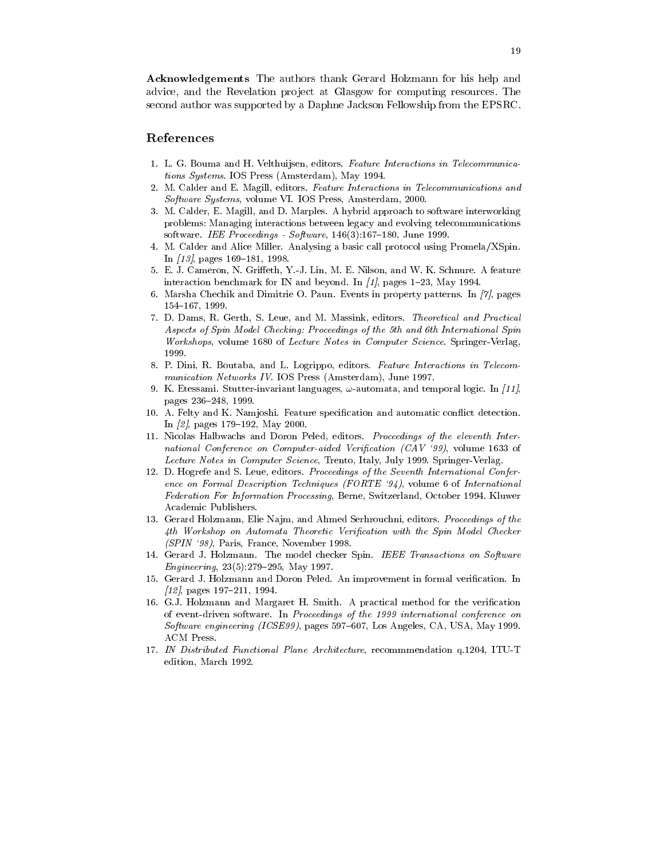Acknowledgements The authors thank Gerard Holzmann for his help and advice, and the Revelation project at Glasgow for computing resources. The second author was supported by a Daphne Jackson Fellowship from the EPSRC.

### References

- 1. L. G. Bouma and H. Velthuijsen, editors. Feature Interactions in Telecommunications Systems. IOS Press (Amsterdam), May 1994.
- 2. M. Calder and E. Magill, editors. Feature Interactions in Telecommunications and Software Systems, volume VI. IOS Press, Amsterdam, 2000.
- 3. M. Calder, E. Magill, and D. Marples. A hybrid approach to software interworking problems: Managing interactions between legacy and evolving telecommunications software. IEE Proceedings - Software,  $146(3):167-180$ , June 1999.
- 4. M. Calder and Alice Miller. Analysing a basic call protocol using Promela/XSpin. In  $\langle 13 \rangle$ , pages 169-181, 1998.
- 5. E. J. Cameron, N. Griffeth, Y.-J. Lin, M. E. Nilson, and W. K. Schnure. A feature interaction benchmark for IN and beyond. In  $\langle 1 \rangle$ , pages 1-23, May 1994.
- 6. Marsha Chechik and Dimitrie O. Paun. Events in property patterns. In [7], pages 154{167, 1999.
- 7. D. Dams, R. Gerth, S. Leue, and M. Massink, editors. Theoretical and Practical Aspects of Spin Model Checking: Proceedings of the 5th and 6th International Spin Workshops, volume 1680 of Lecture Notes in Computer Science. Springer-Verlag, 1999.
- 8. P. Dini, R. Boutaba, and L. Logrippo, editors. Feature Interactions in Telecom munication Networks IV. IOS Press (Amsterdam), June 1997.
- 9. K. Etessami. Stutter-invariant languages,  $\omega$ -automata, and temporal logic. In [11], pages 236-248, 1999.
- 10. A. Felty and K. Namjoshi. Feature specification and automatic conflict detection. In  $[2]$ , pages 179-192, May 2000.
- 11. Nicolas Halbwachs and Doron Peled, editors. Proceedings of the eleventh International Conference on Computer-aided Verification  $(CAV '99)$ , volume 1633 of Lecture Notes in Computer Science, Trento, Italy, July 1999. Springer-Verlag.
- 12. D. Hogrefe and S. Leue, editors. Proceedings of the Seventh International Confer ence on Formal Description Techniques (FORTE  $94$ ), volume 6 of International Federation For Information Processing, Berne, Switzerland, October 1994. Kluwer Academic Publishers.
- 13. Gerard Holzmann, Elie Najm, and Ahmed Serhrouchni, editors. Proceedings of the 4th Workshop on Automata Theoretic Verification with the Spin Model Checker (SPIN `98), Paris, France, November 1998.
- 14. Gerard J. Holzmann. The model checker Spin. IEEE Transactions on Software Engineering,  $23(5):279{-}295$ , May 1997.
- 15. Gerard J. Holzmann and Doron Peled. An improvement in formal verication. In [12], pages 197-211, 1994.
- 16. G.J. Holzmann and Margaret H. Smith. A practical method for the verification of event-driven software. In Proceedings of the 1999 international conference on Software engineering (ICSE99), pages 597-607, Los Angeles, CA, USA, May 1999. ACM Press.
- 17. IN Distributed Functional Plane Architecture, recommmendation q.1204, ITU-T edition, March 1992.